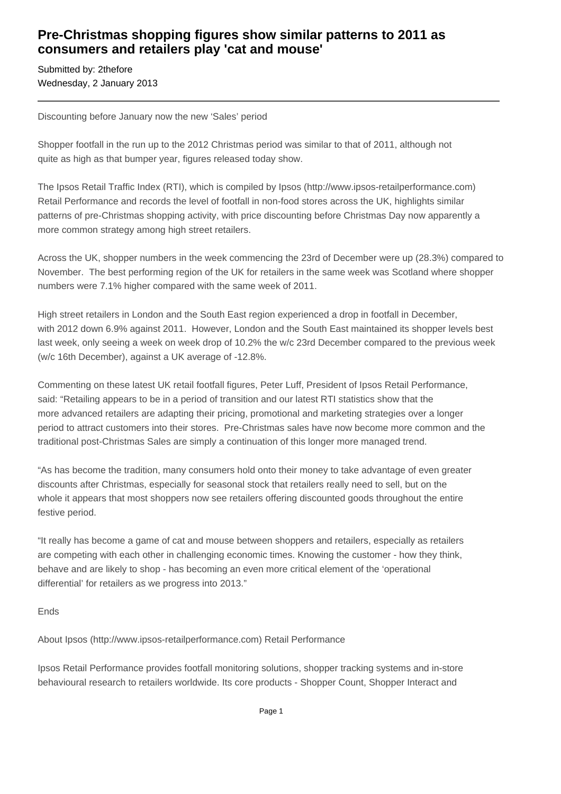## **Pre-Christmas shopping figures show similar patterns to 2011 as consumers and retailers play 'cat and mouse'**

Submitted by: 2thefore Wednesday, 2 January 2013

Discounting before January now the new 'Sales' period

Shopper footfall in the run up to the 2012 Christmas period was similar to that of 2011, although not quite as high as that bumper year, figures released today show.

The Ipsos Retail Traffic Index (RTI), which is compiled by Ipsos (http://www.ipsos-retailperformance.com) Retail Performance and records the level of footfall in non-food stores across the UK, highlights similar patterns of pre-Christmas shopping activity, with price discounting before Christmas Day now apparently a more common strategy among high street retailers.

Across the UK, shopper numbers in the week commencing the 23rd of December were up (28.3%) compared to November. The best performing region of the UK for retailers in the same week was Scotland where shopper numbers were 7.1% higher compared with the same week of 2011.

High street retailers in London and the South East region experienced a drop in footfall in December, with 2012 down 6.9% against 2011. However, London and the South East maintained its shopper levels best last week, only seeing a week on week drop of 10.2% the w/c 23rd December compared to the previous week (w/c 16th December), against a UK average of -12.8%.

Commenting on these latest UK retail footfall figures, Peter Luff, President of Ipsos Retail Performance, said: "Retailing appears to be in a period of transition and our latest RTI statistics show that the more advanced retailers are adapting their pricing, promotional and marketing strategies over a longer period to attract customers into their stores. Pre-Christmas sales have now become more common and the traditional post-Christmas Sales are simply a continuation of this longer more managed trend.

"As has become the tradition, many consumers hold onto their money to take advantage of even greater discounts after Christmas, especially for seasonal stock that retailers really need to sell, but on the whole it appears that most shoppers now see retailers offering discounted goods throughout the entire festive period.

"It really has become a game of cat and mouse between shoppers and retailers, especially as retailers are competing with each other in challenging economic times. Knowing the customer - how they think, behave and are likely to shop - has becoming an even more critical element of the 'operational differential' for retailers as we progress into 2013."

Ends

About Ipsos (http://www.ipsos-retailperformance.com) Retail Performance

Ipsos Retail Performance provides footfall monitoring solutions, shopper tracking systems and in-store behavioural research to retailers worldwide. Its core products - Shopper Count, Shopper Interact and